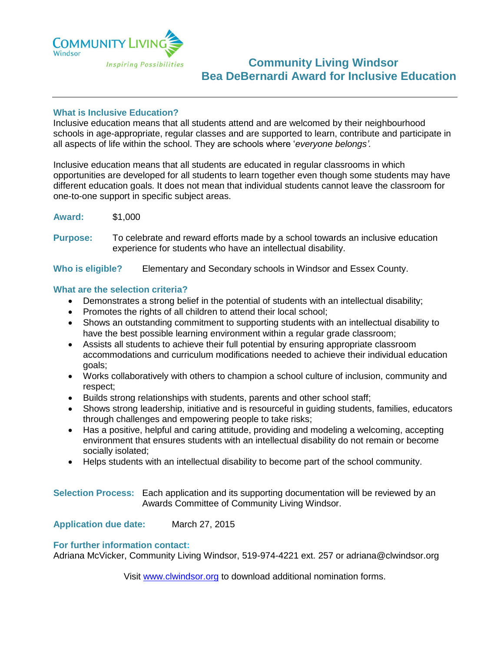

### **What is Inclusive Education?**

Inclusive education means that all students attend and are welcomed by their neighbourhood schools in age-appropriate, regular classes and are supported to learn, contribute and participate in all aspects of life within the school. They are schools where '*everyone belongs'.*

Inclusive education means that all students are educated in regular classrooms in which opportunities are developed for all students to learn together even though some students may have different education goals. It does not mean that individual students cannot leave the classroom for one-to-one support in specific subject areas.

**Award:** \$1,000

**Purpose:** To celebrate and reward efforts made by a school towards an inclusive education experience for students who have an intellectual disability.

**Who is eligible?** Elementary and Secondary schools in Windsor and Essex County.

### **What are the selection criteria?**

- Demonstrates a strong belief in the potential of students with an intellectual disability;
- Promotes the rights of all children to attend their local school;
- Shows an outstanding commitment to supporting students with an intellectual disability to have the best possible learning environment within a regular grade classroom;
- Assists all students to achieve their full potential by ensuring appropriate classroom accommodations and curriculum modifications needed to achieve their individual education goals;
- Works collaboratively with others to champion a school culture of inclusion, community and respect;
- Builds strong relationships with students, parents and other school staff;
- Shows strong leadership, initiative and is resourceful in guiding students, families, educators through challenges and empowering people to take risks;
- Has a positive, helpful and caring attitude, providing and modeling a welcoming, accepting environment that ensures students with an intellectual disability do not remain or become socially isolated;
- Helps students with an intellectual disability to become part of the school community.

**Selection Process:** Each application and its supporting documentation will be reviewed by an Awards Committee of Community Living Windsor.

**Application due date:** March 27, 2015

#### **For further information contact:**

Adriana McVicker, Community Living Windsor, 519-974-4221 ext. 257 or adriana@clwindsor.org

Visit [www.clwindsor.org](http://www.clwindsor.org/) to download additional nomination forms.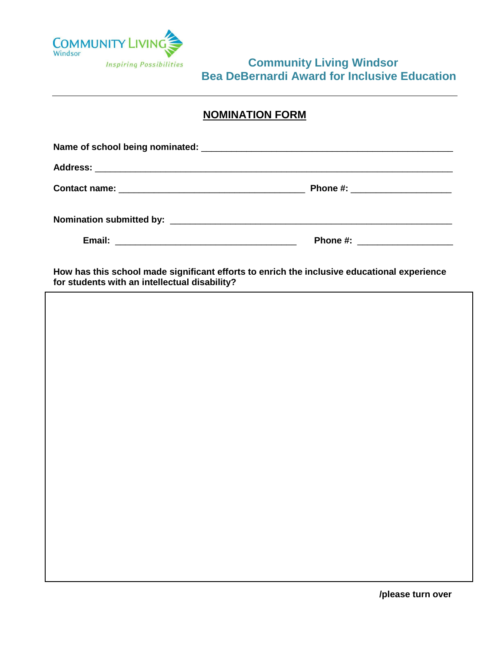

# **Community Living Windsor Bea DeBernardi Award for Inclusive Education**

## **NOMINATION FORM**

|  | Phone #: _________________________ |
|--|------------------------------------|
|  |                                    |
|  | Phone #: ______________________    |

**How has this school made significant efforts to enrich the inclusive educational experience for students with an intellectual disability?**

 **/please turn over**